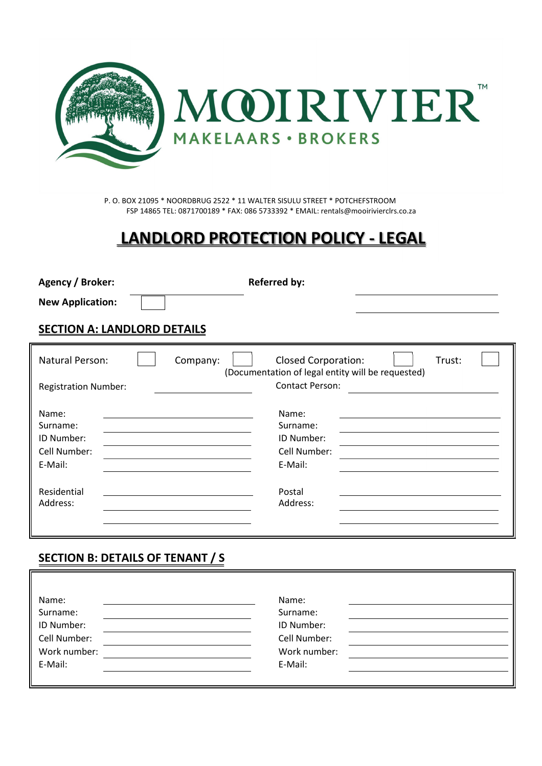

P. O. BOX 21095 \* NOORDBRUG 2522 \* 11 WALTER SISULU STREET \* POTCHEFSTROOM FSP 14865 TEL: 0871700189 \* FAX: 086 5733392 \* EMAIL: rentals@mooirivierclrs.co.za

## **LANDLORD PROTECTION POLICY - LEGAL**

| <b>Agency / Broker:</b>                                    | <b>Referred by:</b>                                                                       |  |  |  |  |  |  |  |  |  |  |  |  |
|------------------------------------------------------------|-------------------------------------------------------------------------------------------|--|--|--|--|--|--|--|--|--|--|--|--|
| <b>New Application:</b>                                    |                                                                                           |  |  |  |  |  |  |  |  |  |  |  |  |
| <b>SECTION A: LANDLORD DETAILS</b>                         |                                                                                           |  |  |  |  |  |  |  |  |  |  |  |  |
| Natural Person:<br>Company:                                | <b>Closed Corporation:</b><br>Trust:<br>(Documentation of legal entity will be requested) |  |  |  |  |  |  |  |  |  |  |  |  |
| <b>Registration Number:</b>                                | <b>Contact Person:</b>                                                                    |  |  |  |  |  |  |  |  |  |  |  |  |
| Name:<br>Surname:<br>ID Number:<br>Cell Number:<br>E-Mail: | Name:<br>Surname:<br>ID Number:<br>Cell Number:<br>E-Mail:                                |  |  |  |  |  |  |  |  |  |  |  |  |
| Residential<br>Address:                                    | Postal<br>Address:                                                                        |  |  |  |  |  |  |  |  |  |  |  |  |

## **SECTION B: DETAILS OF TENANT / S**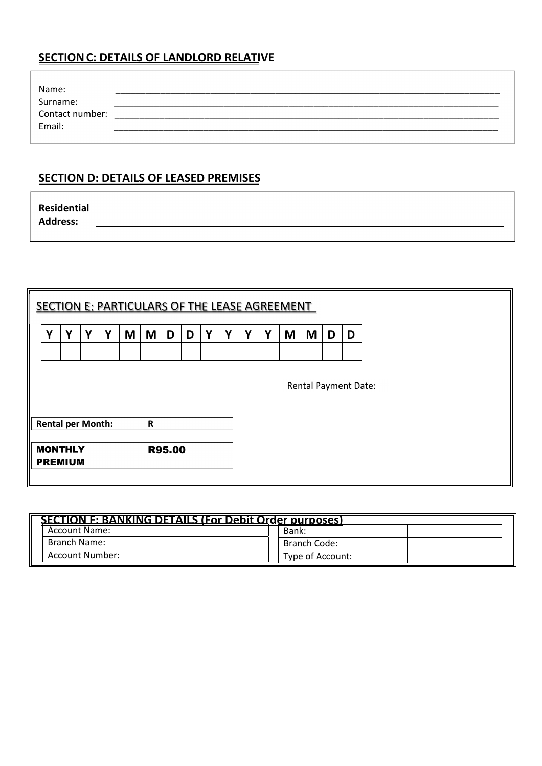## **SECTION C: DETAILS OF LANDLORD RELATIVE**

| Name:                       |  |
|-----------------------------|--|
|                             |  |
| Surname:<br>Contact number: |  |
| Email:                      |  |
|                             |  |

## **SECTION D: DETAILS OF LEASED PREMISES**

| Residential     |  |
|-----------------|--|
| <b>Address:</b> |  |
|                 |  |

| SECTION E: PARTICULARS OF THE LEASE AGREEMENT |                                  |   |   |   |   |               |   |   |   |   |   |   |                             |   |   |  |  |  |  |
|-----------------------------------------------|----------------------------------|---|---|---|---|---------------|---|---|---|---|---|---|-----------------------------|---|---|--|--|--|--|
| Y                                             | Y                                | Y | Y | M | M | D             | D | Y | Y | Y | Y | M | M                           | D | D |  |  |  |  |
|                                               |                                  |   |   |   |   |               |   |   |   |   |   |   |                             |   |   |  |  |  |  |
|                                               |                                  |   |   |   |   |               |   |   |   |   |   |   | <b>Rental Payment Date:</b> |   |   |  |  |  |  |
| <b>Rental per Month:</b><br>$\mathbf R$       |                                  |   |   |   |   |               |   |   |   |   |   |   |                             |   |   |  |  |  |  |
|                                               | <b>MONTHLY</b><br><b>PREMIUM</b> |   |   |   |   | <b>R95.00</b> |   |   |   |   |   |   |                             |   |   |  |  |  |  |

| <b>SECTION F: BANKING DETAILS (For Debit Order purposes)</b> |                  |
|--------------------------------------------------------------|------------------|
| <b>Account Name:</b>                                         | Bank:            |
| Branch Name:                                                 | Branch Code:     |
| Account Number:                                              | Type of Account: |